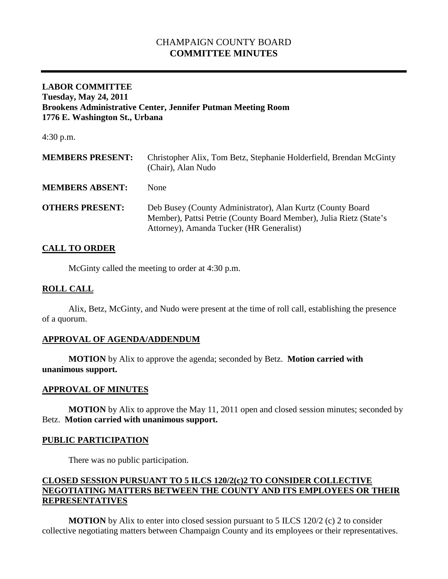# CHAMPAIGN COUNTY BOARD **COMMITTEE MINUTES**

#### **LABOR COMMITTEE Tuesday, May 24, 2011 Brookens Administrative Center, Jennifer Putman Meeting Room 1776 E. Washington St., Urbana**

4:30 p.m.

| <b>MEMBERS PRESENT:</b> | Christopher Alix, Tom Betz, Stephanie Holderfield, Brendan McGinty<br>(Chair), Alan Nudo                                                                                     |
|-------------------------|------------------------------------------------------------------------------------------------------------------------------------------------------------------------------|
| <b>MEMBERS ABSENT:</b>  | None                                                                                                                                                                         |
| <b>OTHERS PRESENT:</b>  | Deb Busey (County Administrator), Alan Kurtz (County Board<br>Member), Pattsi Petrie (County Board Member), Julia Rietz (State's<br>Attorney), Amanda Tucker (HR Generalist) |

# **CALL TO ORDER**

McGinty called the meeting to order at 4:30 p.m.

#### **ROLL CALL**

Alix, Betz, McGinty, and Nudo were present at the time of roll call, establishing the presence of a quorum.

# **APPROVAL OF AGENDA/ADDENDUM**

**MOTION** by Alix to approve the agenda; seconded by Betz. **Motion carried with unanimous support.**

### **APPROVAL OF MINUTES**

**MOTION** by Alix to approve the May 11, 2011 open and closed session minutes; seconded by Betz. **Motion carried with unanimous support.**

### **PUBLIC PARTICIPATION**

There was no public participation.

# **CLOSED SESSION PURSUANT TO 5 ILCS 120/2(c)2 TO CONSIDER COLLECTIVE NEGOTIATING MATTERS BETWEEN THE COUNTY AND ITS EMPLOYEES OR THEIR REPRESENTATIVES**

**MOTION** by Alix to enter into closed session pursuant to 5 ILCS 120/2 (c) 2 to consider collective negotiating matters between Champaign County and its employees or their representatives.